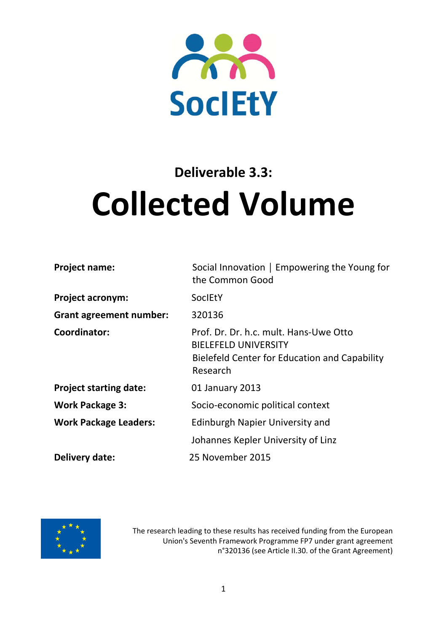

# **Deliverable 3.3: Collected Volume**

| <b>Project name:</b>           | Social Innovation   Empowering the Young for<br>the Common Good                                                                    |
|--------------------------------|------------------------------------------------------------------------------------------------------------------------------------|
| <b>Project acronym:</b>        | <b>SocIEtY</b>                                                                                                                     |
| <b>Grant agreement number:</b> | 320136                                                                                                                             |
| Coordinator:                   | Prof. Dr. Dr. h.c. mult. Hans-Uwe Otto<br><b>BIELEFELD UNIVERSITY</b><br>Bielefeld Center for Education and Capability<br>Research |
| <b>Project starting date:</b>  | 01 January 2013                                                                                                                    |
| <b>Work Package 3:</b>         | Socio-economic political context                                                                                                   |
| <b>Work Package Leaders:</b>   | <b>Edinburgh Napier University and</b>                                                                                             |
|                                | Johannes Kepler University of Linz                                                                                                 |
| Delivery date:                 | 25 November 2015                                                                                                                   |



The research leading to these results has received funding from the European Union's Seventh Framework Programme FP7 under grant agreement n°320136 (see Article II.30. of the Grant Agreement)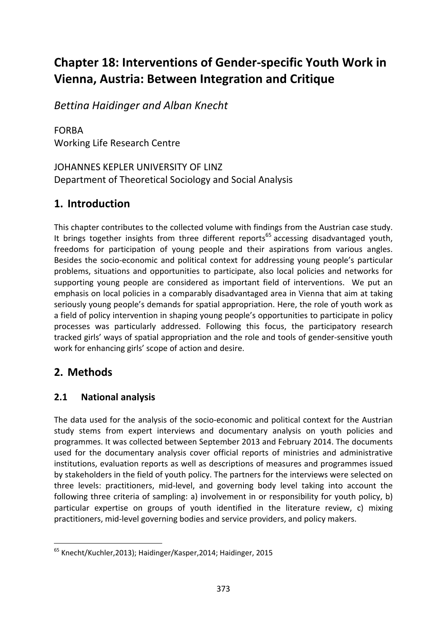# **Chapter 18: Interventions of Gender‐specific Youth Work in Vienna, Austria: Between Integration and Critique**

*Bettina Haidinger and Alban Knecht*

FORBA Working Life Research Centre

JOHANNES KEPLER UNIVERSITY OF LINZ Department of Theoretical Sociology and Social Analysis

# **1. Introduction**

This chapter contributes to the collected volume with findings from the Austrian case study. It brings together insights from three different reports<sup>65</sup> accessing disadvantaged youth, freedoms for participation of young people and their aspirations from various angles. Besides the socio‐economic and political context for addressing young people's particular problems, situations and opportunities to participate, also local policies and networks for supporting young people are considered as important field of interventions. We put an emphasis on local policies in a comparably disadvantaged area in Vienna that aim at taking seriously young people's demands for spatial appropriation. Here, the role of youth work as a field of policy intervention in shaping young people's opportunities to participate in policy processes was particularly addressed. Following this focus, the participatory research tracked girls' ways of spatial appropriation and the role and tools of gender‐sensitive youth work for enhancing girls' scope of action and desire.

# **2. Methods**

#### **2.1 National analysis**

The data used for the analysis of the socio‐economic and political context for the Austrian study stems from expert interviews and documentary analysis on youth policies and programmes. It was collected between September 2013 and February 2014. The documents used for the documentary analysis cover official reports of ministries and administrative institutions, evaluation reports as well as descriptions of measures and programmes issued by stakeholders in the field of youth policy. The partners for the interviews were selected on three levels: practitioners, mid‐level, and governing body level taking into account the following three criteria of sampling: a) involvement in or responsibility for youth policy, b) particular expertise on groups of youth identified in the literature review, c) mixing practitioners, mid‐level governing bodies and service providers, and policy makers.

<sup>65</sup> Knecht/Kuchler,2013); Haidinger/Kasper,2014; Haidinger, 2015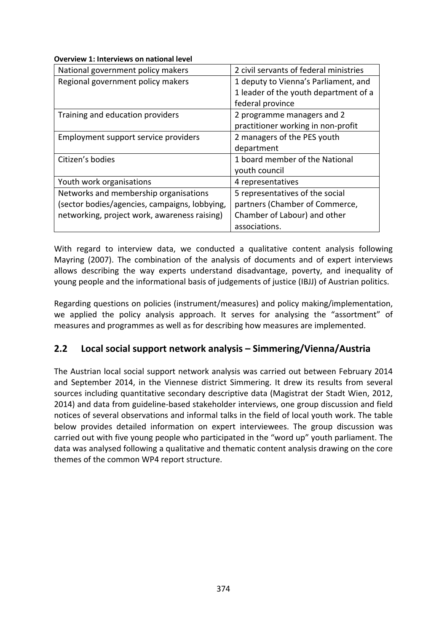#### **Overview 1: Interviews on national level**

| National government policy makers             | 2 civil servants of federal ministries |
|-----------------------------------------------|----------------------------------------|
| Regional government policy makers             | 1 deputy to Vienna's Parliament, and   |
|                                               | 1 leader of the youth department of a  |
|                                               | federal province                       |
| Training and education providers              | 2 programme managers and 2             |
|                                               | practitioner working in non-profit     |
| Employment support service providers          | 2 managers of the PES youth            |
|                                               | department                             |
| Citizen's bodies                              | 1 board member of the National         |
|                                               | youth council                          |
| Youth work organisations                      | 4 representatives                      |
| Networks and membership organisations         | 5 representatives of the social        |
| (sector bodies/agencies, campaigns, lobbying, | partners (Chamber of Commerce,         |
| networking, project work, awareness raising)  | Chamber of Labour) and other           |
|                                               | associations.                          |

With regard to interview data, we conducted a qualitative content analysis following Mayring (2007). The combination of the analysis of documents and of expert interviews allows describing the way experts understand disadvantage, poverty, and inequality of young people and the informational basis of judgements of justice (IBJJ) of Austrian politics.

Regarding questions on policies (instrument/measures) and policy making/implementation, we applied the policy analysis approach. It serves for analysing the "assortment" of measures and programmes as well as for describing how measures are implemented.

#### **2.2 Local social support network analysis – Simmering/Vienna/Austria**

The Austrian local social support network analysis was carried out between February 2014 and September 2014, in the Viennese district Simmering. It drew its results from several sources including quantitative secondary descriptive data (Magistrat der Stadt Wien, 2012, 2014) and data from guideline‐based stakeholder interviews, one group discussion and field notices of several observations and informal talks in the field of local youth work. The table below provides detailed information on expert interviewees. The group discussion was carried out with five young people who participated in the "word up" youth parliament. The data was analysed following a qualitative and thematic content analysis drawing on the core themes of the common WP4 report structure.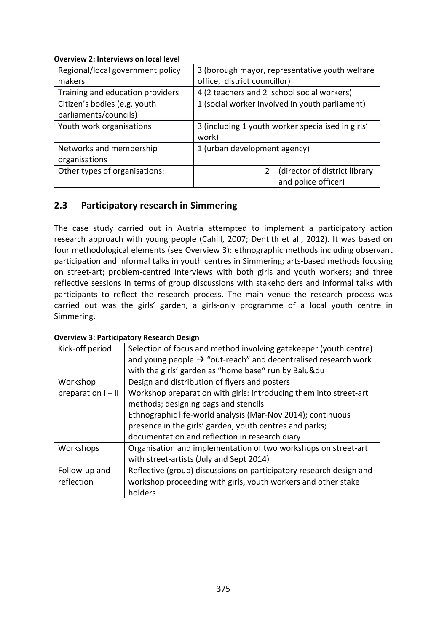| Regional/local government policy | 3 (borough mayor, representative youth welfare    |
|----------------------------------|---------------------------------------------------|
| makers                           | office, district councillor)                      |
| Training and education providers | 4 (2 teachers and 2 school social workers)        |
| Citizen's bodies (e.g. youth     | 1 (social worker involved in youth parliament)    |
| parliaments/councils)            |                                                   |
| Youth work organisations         | 3 (including 1 youth worker specialised in girls' |
|                                  | work)                                             |
| Networks and membership          | 1 (urban development agency)                      |
| organisations                    |                                                   |
| Other types of organisations:    | (director of district library                     |
|                                  | and police officer)                               |

#### **2.3 Participatory research in Simmering**

The case study carried out in Austria attempted to implement a participatory action research approach with young people (Cahill, 2007; Dentith et al., 2012). It was based on four methodological elements (see Overview 3): ethnographic methods including observant participation and informal talks in youth centres in Simmering; arts‐based methods focusing on street-art; problem-centred interviews with both girls and youth workers; and three reflective sessions in terms of group discussions with stakeholders and informal talks with participants to reflect the research process. The main venue the research process was carried out was the girls' garden, a girls-only programme of a local youth centre in Simmering.

| Kick-off period      | Selection of focus and method involving gatekeeper (youth centre)<br>and young people $\rightarrow$ "out-reach" and decentralised research work<br>with the girls' garden as "home base" run by Balu&du |
|----------------------|---------------------------------------------------------------------------------------------------------------------------------------------------------------------------------------------------------|
| Workshop             | Design and distribution of flyers and posters                                                                                                                                                           |
| preparation $I + II$ | Workshop preparation with girls: introducing them into street-art<br>methods; designing bags and stencils                                                                                               |
|                      | Ethnographic life-world analysis (Mar-Nov 2014); continuous                                                                                                                                             |
|                      | presence in the girls' garden, youth centres and parks;                                                                                                                                                 |
|                      | documentation and reflection in research diary                                                                                                                                                          |
| Workshops            | Organisation and implementation of two workshops on street-art                                                                                                                                          |
|                      | with street-artists (July and Sept 2014)                                                                                                                                                                |
| Follow-up and        | Reflective (group) discussions on participatory research design and                                                                                                                                     |
| reflection           | workshop proceeding with girls, youth workers and other stake                                                                                                                                           |
|                      | holders                                                                                                                                                                                                 |

#### **Overview 3: Participatory Research Design**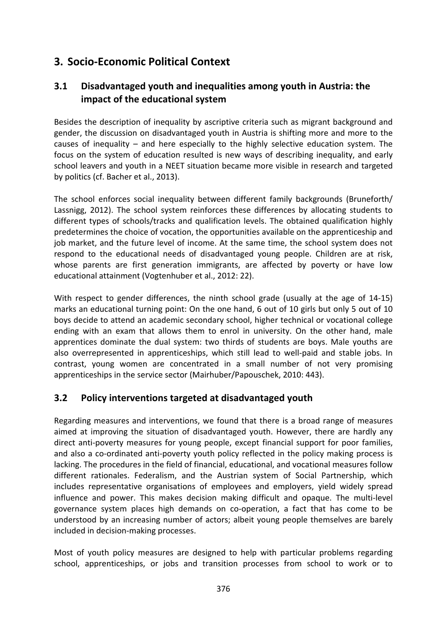## **3. Socio‐Economic Political Context**

#### **3.1 Disadvantaged youth and inequalities among youth in Austria: the impact of the educational system**

Besides the description of inequality by ascriptive criteria such as migrant background and gender, the discussion on disadvantaged youth in Austria is shifting more and more to the causes of inequality – and here especially to the highly selective education system. The focus on the system of education resulted is new ways of describing inequality, and early school leavers and youth in a NEET situation became more visible in research and targeted by politics (cf. Bacher et al., 2013).

The school enforces social inequality between different family backgrounds (Bruneforth/ Lassnigg, 2012). The school system reinforces these differences by allocating students to different types of schools/tracks and qualification levels. The obtained qualification highly predetermines the choice of vocation, the opportunities available on the apprenticeship and job market, and the future level of income. At the same time, the school system does not respond to the educational needs of disadvantaged young people. Children are at risk, whose parents are first generation immigrants, are affected by poverty or have low educational attainment (Vogtenhuber et al., 2012: 22).

With respect to gender differences, the ninth school grade (usually at the age of 14-15) marks an educational turning point: On the one hand, 6 out of 10 girls but only 5 out of 10 boys decide to attend an academic secondary school, higher technical or vocational college ending with an exam that allows them to enrol in university. On the other hand, male apprentices dominate the dual system: two thirds of students are boys. Male youths are also overrepresented in apprenticeships, which still lead to well-paid and stable jobs. In contrast, young women are concentrated in a small number of not very promising apprenticeships in the service sector (Mairhuber/Papouschek, 2010: 443).

#### **3.2 Policy interventions targeted at disadvantaged youth**

Regarding measures and interventions, we found that there is a broad range of measures aimed at improving the situation of disadvantaged youth. However, there are hardly any direct anti-poverty measures for young people, except financial support for poor families, and also a co-ordinated anti-poverty youth policy reflected in the policy making process is lacking. The procedures in the field of financial, educational, and vocational measures follow different rationales. Federalism, and the Austrian system of Social Partnership, which includes representative organisations of employees and employers, yield widely spread influence and power. This makes decision making difficult and opaque. The multi‐level governance system places high demands on co‐operation, a fact that has come to be understood by an increasing number of actors; albeit young people themselves are barely included in decision‐making processes.

Most of youth policy measures are designed to help with particular problems regarding school, apprenticeships, or jobs and transition processes from school to work or to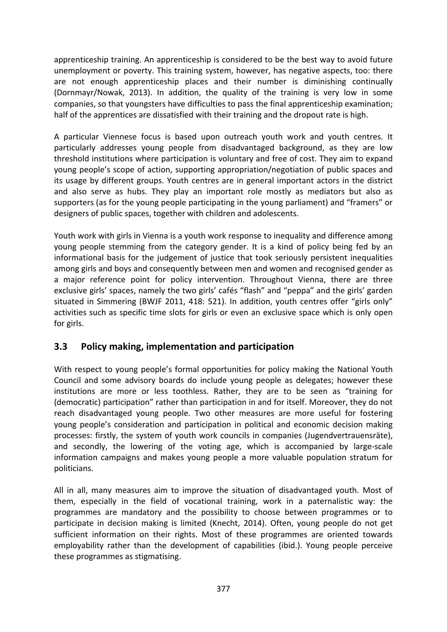apprenticeship training. An apprenticeship is considered to be the best way to avoid future unemployment or poverty. This training system, however, has negative aspects, too: there are not enough apprenticeship places and their number is diminishing continually (Dornmayr/Nowak, 2013). In addition, the quality of the training is very low in some companies, so that youngsters have difficulties to pass the final apprenticeship examination; half of the apprentices are dissatisfied with their training and the dropout rate is high.

A particular Viennese focus is based upon outreach youth work and youth centres. It particularly addresses young people from disadvantaged background, as they are low threshold institutions where participation is voluntary and free of cost. They aim to expand young people's scope of action, supporting appropriation/negotiation of public spaces and its usage by different groups. Youth centres are in general important actors in the district and also serve as hubs. They play an important role mostly as mediators but also as supporters (as for the young people participating in the young parliament) and "framers" or designers of public spaces, together with children and adolescents.

Youth work with girls in Vienna is a youth work response to inequality and difference among young people stemming from the category gender. It is a kind of policy being fed by an informational basis for the judgement of justice that took seriously persistent inequalities among girls and boys and consequently between men and women and recognised gender as a major reference point for policy intervention. Throughout Vienna, there are three exclusive girls' spaces, namely the two girls' cafés "flash" and "peppa" and the girls' garden situated in Simmering (BWJF 2011, 418: 521). In addition, youth centres offer "girls only" activities such as specific time slots for girls or even an exclusive space which is only open for girls.

#### **3.3 Policy making, implementation and participation**

With respect to young people's formal opportunities for policy making the National Youth Council and some advisory boards do include young people as delegates; however these institutions are more or less toothless. Rather, they are to be seen as "training for (democratic) participation" rather than participation in and for itself. Moreover, they do not reach disadvantaged young people. Two other measures are more useful for fostering young people's consideration and participation in political and economic decision making processes: firstly, the system of youth work councils in companies (Jugendvertrauensräte), and secondly, the lowering of the voting age, which is accompanied by large-scale information campaigns and makes young people a more valuable population stratum for politicians.

All in all, many measures aim to improve the situation of disadvantaged youth. Most of them, especially in the field of vocational training, work in a paternalistic way: the programmes are mandatory and the possibility to choose between programmes or to participate in decision making is limited (Knecht, 2014). Often, young people do not get sufficient information on their rights. Most of these programmes are oriented towards employability rather than the development of capabilities (ibid.). Young people perceive these programmes as stigmatising.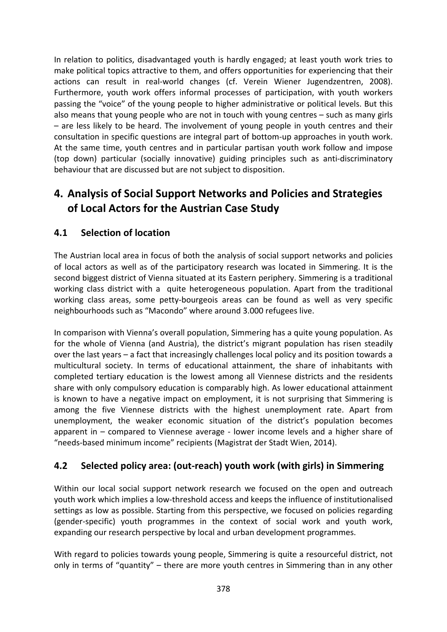In relation to politics, disadvantaged youth is hardly engaged; at least youth work tries to make political topics attractive to them, and offers opportunities for experiencing that their actions can result in real‐world changes (cf. Verein Wiener Jugendzentren, 2008). Furthermore, youth work offers informal processes of participation, with youth workers passing the "voice" of the young people to higher administrative or political levels. But this also means that young people who are not in touch with young centres – such as many girls – are less likely to be heard. The involvement of young people in youth centres and their consultation in specific questions are integral part of bottom‐up approaches in youth work. At the same time, youth centres and in particular partisan youth work follow and impose (top down) particular (socially innovative) guiding principles such as anti‐discriminatory behaviour that are discussed but are not subject to disposition.

# **4. Analysis of Social Support Networks and Policies and Strategies of Local Actors for the Austrian Case Study**

#### **4.1 Selection of location**

The Austrian local area in focus of both the analysis of social support networks and policies of local actors as well as of the participatory research was located in Simmering. It is the second biggest district of Vienna situated at its Eastern periphery. Simmering is a traditional working class district with a quite heterogeneous population. Apart from the traditional working class areas, some petty‐bourgeois areas can be found as well as very specific neighbourhoods such as "Macondo" where around 3.000 refugees live.

In comparison with Vienna's overall population, Simmering has a quite young population. As for the whole of Vienna (and Austria), the district's migrant population has risen steadily over the last years – a fact that increasingly challenges local policy and its position towards a multicultural society. In terms of educational attainment, the share of inhabitants with completed tertiary education is the lowest among all Viennese districts and the residents share with only compulsory education is comparably high. As lower educational attainment is known to have a negative impact on employment, it is not surprising that Simmering is among the five Viennese districts with the highest unemployment rate. Apart from unemployment, the weaker economic situation of the district's population becomes apparent in – compared to Viennese average ‐ lower income levels and a higher share of "needs‐based minimum income" recipients (Magistrat der Stadt Wien, 2014).

#### **4.2 Selected policy area: (out‐reach) youth work (with girls) in Simmering**

Within our local social support network research we focused on the open and outreach youth work which implies a low‐threshold access and keeps the influence of institutionalised settings as low as possible. Starting from this perspective, we focused on policies regarding (gender‐specific) youth programmes in the context of social work and youth work, expanding our research perspective by local and urban development programmes.

With regard to policies towards young people, Simmering is quite a resourceful district, not only in terms of "quantity" – there are more youth centres in Simmering than in any other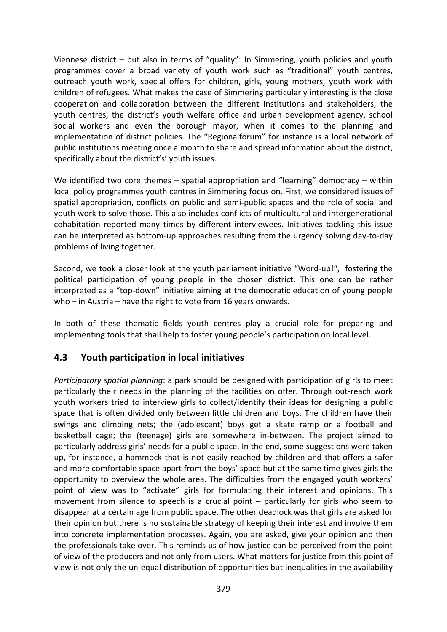Viennese district – but also in terms of "quality": In Simmering, youth policies and youth programmes cover a broad variety of youth work such as "traditional" youth centres, outreach youth work, special offers for children, girls, young mothers, youth work with children of refugees. What makes the case of Simmering particularly interesting is the close cooperation and collaboration between the different institutions and stakeholders, the youth centres, the district's youth welfare office and urban development agency, school social workers and even the borough mayor, when it comes to the planning and implementation of district policies. The "Regionalforum" for instance is a local network of public institutions meeting once a month to share and spread information about the district, specifically about the district's' youth issues.

We identified two core themes – spatial appropriation and "learning" democracy – within local policy programmes youth centres in Simmering focus on. First, we considered issues of spatial appropriation, conflicts on public and semi‐public spaces and the role of social and youth work to solve those. This also includes conflicts of multicultural and intergenerational cohabitation reported many times by different interviewees. Initiatives tackling this issue can be interpreted as bottom‐up approaches resulting from the urgency solving day‐to‐day problems of living together.

Second, we took a closer look at the youth parliament initiative "Word-up!", fostering the political participation of young people in the chosen district. This one can be rather interpreted as a "top‐down" initiative aiming at the democratic education of young people who – in Austria – have the right to vote from 16 years onwards.

In both of these thematic fields youth centres play a crucial role for preparing and implementing tools that shall help to foster young people's participation on local level.

#### **4.3 Youth participation in local initiatives**

*Participatory spatial planning*: a park should be designed with participation of girls to meet particularly their needs in the planning of the facilities on offer. Through out‐reach work youth workers tried to interview girls to collect/identify their ideas for designing a public space that is often divided only between little children and boys. The children have their swings and climbing nets; the (adolescent) boys get a skate ramp or a football and basketball cage; the (teenage) girls are somewhere in‐between. The project aimed to particularly address girls' needs for a public space. In the end, some suggestions were taken up, for instance, a hammock that is not easily reached by children and that offers a safer and more comfortable space apart from the boys' space but at the same time gives girls the opportunity to overview the whole area. The difficulties from the engaged youth workers' point of view was to "activate" girls for formulating their interest and opinions. This movement from silence to speech is a crucial point – particularly for girls who seem to disappear at a certain age from public space. The other deadlock was that girls are asked for their opinion but there is no sustainable strategy of keeping their interest and involve them into concrete implementation processes. Again, you are asked, give your opinion and then the professionals take over. This reminds us of how justice can be perceived from the point of view of the producers and not only from users. What matters for justice from this point of view is not only the un‐equal distribution of opportunities but inequalities in the availability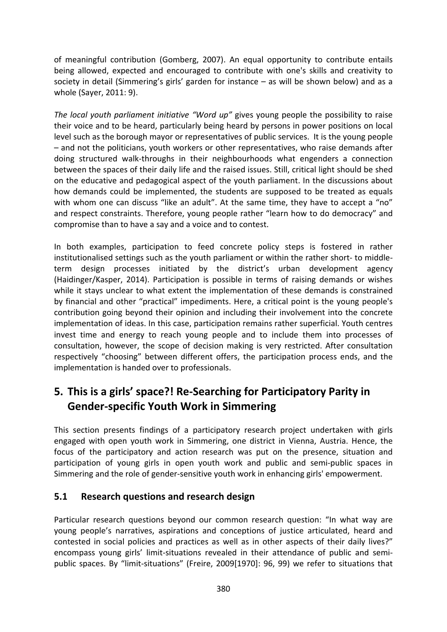of meaningful contribution (Gomberg, 2007). An equal opportunity to contribute entails being allowed, expected and encouraged to contribute with one's skills and creativity to society in detail (Simmering's girls' garden for instance – as will be shown below) and as a whole (Sayer, 2011: 9).

*The local youth parliament initiative "Word up"* gives young people the possibility to raise their voice and to be heard, particularly being heard by persons in power positions on local level such as the borough mayor or representatives of public services. It is the young people – and not the politicians, youth workers or other representatives, who raise demands after doing structured walk‐throughs in their neighbourhoods what engenders a connection between the spaces of their daily life and the raised issues. Still, critical light should be shed on the educative and pedagogical aspect of the youth parliament. In the discussions about how demands could be implemented, the students are supposed to be treated as equals with whom one can discuss "like an adult". At the same time, they have to accept a "no" and respect constraints. Therefore, young people rather "learn how to do democracy" and compromise than to have a say and a voice and to contest.

In both examples, participation to feed concrete policy steps is fostered in rather institutionalised settings such as the youth parliament or within the rather short‐ to middle‐ term design processes initiated by the district's urban development agency (Haidinger/Kasper, 2014). Participation is possible in terms of raising demands or wishes while it stays unclear to what extent the implementation of these demands is constrained by financial and other "practical" impediments. Here, a critical point is the young people's contribution going beyond their opinion and including their involvement into the concrete implementation of ideas. In this case, participation remains rather superficial. Youth centres invest time and energy to reach young people and to include them into processes of consultation, however, the scope of decision making is very restricted. After consultation respectively "choosing" between different offers, the participation process ends, and the implementation is handed over to professionals.

# **5. This is a girls' space?! Re‐Searching for Participatory Parity in Gender‐specific Youth Work in Simmering**

This section presents findings of a participatory research project undertaken with girls engaged with open youth work in Simmering, one district in Vienna, Austria. Hence, the focus of the participatory and action research was put on the presence, situation and participation of young girls in open youth work and public and semi‐public spaces in Simmering and the role of gender‐sensitive youth work in enhancing girls' empowerment.

#### **5.1 Research questions and research design**

Particular research questions beyond our common research question: "In what way are young people's narratives, aspirations and conceptions of justice articulated, heard and contested in social policies and practices as well as in other aspects of their daily lives?" encompass young girls' limit-situations revealed in their attendance of public and semipublic spaces. By "limit-situations" (Freire, 2009[1970]: 96, 99) we refer to situations that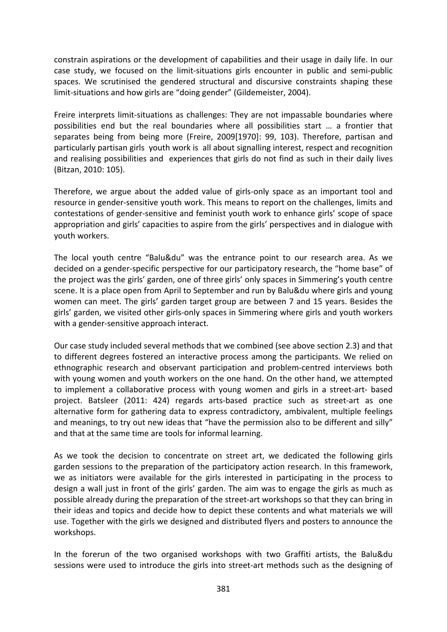constrain aspirations or the development of capabilities and their usage in daily life. In our case study, we focused on the limit‐situations girls encounter in public and semi‐public spaces. We scrutinised the gendered structural and discursive constraints shaping these limit‐situations and how girls are "doing gender" (Gildemeister, 2004).

Freire interprets limit‐situations as challenges: They are not impassable boundaries where possibilities end but the real boundaries where all possibilities start … a frontier that separates being from being more (Freire, 2009[1970]: 99, 103). Therefore, partisan and particularly partisan girls youth work is all about signalling interest, respect and recognition and realising possibilities and experiences that girls do not find as such in their daily lives (Bitzan, 2010: 105).

Therefore, we argue about the added value of girls‐only space as an important tool and resource in gender-sensitive youth work. This means to report on the challenges, limits and contestations of gender‐sensitive and feminist youth work to enhance girls' scope of space appropriation and girls' capacities to aspire from the girls' perspectives and in dialogue with youth workers.

The local youth centre "Balu&du" was the entrance point to our research area. As we decided on a gender‐specific perspective for our participatory research, the "home base" of the project was the girls' garden, one of three girls' only spaces in Simmering's youth centre scene. It is a place open from April to September and run by Balu&du where girls and young women can meet. The girls' garden target group are between 7 and 15 years. Besides the girls' garden, we visited other girls‐only spaces in Simmering where girls and youth workers with a gender-sensitive approach interact.

Our case study included several methods that we combined (see above section 2.3) and that to different degrees fostered an interactive process among the participants. We relied on ethnographic research and observant participation and problem‐centred interviews both with young women and youth workers on the one hand. On the other hand, we attempted to implement a collaborative process with young women and girls in a street-art- based project. Batsleer (2011: 424) regards arts‐based practice such as street‐art as one alternative form for gathering data to express contradictory, ambivalent, multiple feelings and meanings, to try out new ideas that "have the permission also to be different and silly" and that at the same time are tools for informal learning.

As we took the decision to concentrate on street art, we dedicated the following girls garden sessions to the preparation of the participatory action research. In this framework, we as initiators were available for the girls interested in participating in the process to design a wall just in front of the girls' garden. The aim was to engage the girls as much as possible already during the preparation of the street‐art workshops so that they can bring in their ideas and topics and decide how to depict these contents and what materials we will use. Together with the girls we designed and distributed flyers and posters to announce the workshops.

In the forerun of the two organised workshops with two Graffiti artists, the Balu&du sessions were used to introduce the girls into street‐art methods such as the designing of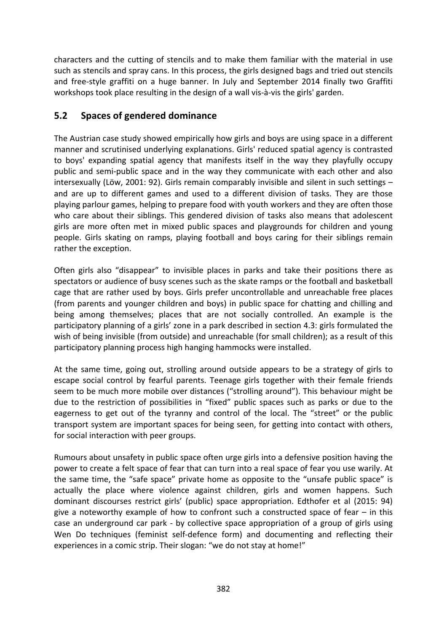characters and the cutting of stencils and to make them familiar with the material in use such as stencils and spray cans. In this process, the girls designed bags and tried out stencils and free‐style graffiti on a huge banner. In July and September 2014 finally two Graffiti workshops took place resulting in the design of a wall vis‐à‐vis the girls' garden.

#### **5.2 Spaces of gendered dominance**

The Austrian case study showed empirically how girls and boys are using space in a different manner and scrutinised underlying explanations. Girls' reduced spatial agency is contrasted to boys' expanding spatial agency that manifests itself in the way they playfully occupy public and semi‐public space and in the way they communicate with each other and also intersexually (Löw, 2001: 92). Girls remain comparably invisible and silent in such settings – and are up to different games and used to a different division of tasks. They are those playing parlour games, helping to prepare food with youth workers and they are often those who care about their siblings. This gendered division of tasks also means that adolescent girls are more often met in mixed public spaces and playgrounds for children and young people. Girls skating on ramps, playing football and boys caring for their siblings remain rather the exception.

Often girls also "disappear" to invisible places in parks and take their positions there as spectators or audience of busy scenes such as the skate ramps or the football and basketball cage that are rather used by boys. Girls prefer uncontrollable and unreachable free places (from parents and younger children and boys) in public space for chatting and chilling and being among themselves; places that are not socially controlled. An example is the participatory planning of a girls' zone in a park described in section 4.3: girls formulated the wish of being invisible (from outside) and unreachable (for small children); as a result of this participatory planning process high hanging hammocks were installed.

At the same time, going out, strolling around outside appears to be a strategy of girls to escape social control by fearful parents. Teenage girls together with their female friends seem to be much more mobile over distances ("strolling around"). This behaviour might be due to the restriction of possibilities in "fixed" public spaces such as parks or due to the eagerness to get out of the tyranny and control of the local. The "street" or the public transport system are important spaces for being seen, for getting into contact with others, for social interaction with peer groups.

Rumours about unsafety in public space often urge girls into a defensive position having the power to create a felt space of fear that can turn into a real space of fear you use warily. At the same time, the "safe space" private home as opposite to the "unsafe public space" is actually the place where violence against children, girls and women happens. Such dominant discourses restrict girls' (public) space appropriation. Edthofer et al (2015: 94) give a noteworthy example of how to confront such a constructed space of fear – in this case an underground car park ‐ by collective space appropriation of a group of girls using Wen Do techniques (feminist self-defence form) and documenting and reflecting their experiences in a comic strip. Their slogan: "we do not stay at home!"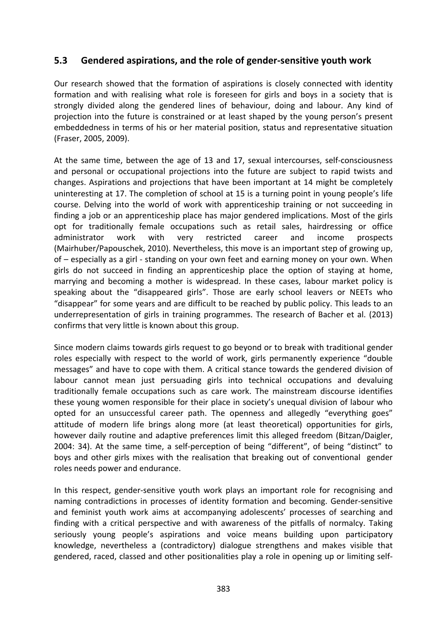#### **5.3 Gendered aspirations, and the role of gender‐sensitive youth work**

Our research showed that the formation of aspirations is closely connected with identity formation and with realising what role is foreseen for girls and boys in a society that is strongly divided along the gendered lines of behaviour, doing and labour. Any kind of projection into the future is constrained or at least shaped by the young person's present embeddedness in terms of his or her material position, status and representative situation (Fraser, 2005, 2009).

At the same time, between the age of 13 and 17, sexual intercourses, self-consciousness and personal or occupational projections into the future are subject to rapid twists and changes. Aspirations and projections that have been important at 14 might be completely uninteresting at 17. The completion of school at 15 is a turning point in young people's life course. Delving into the world of work with apprenticeship training or not succeeding in finding a job or an apprenticeship place has major gendered implications. Most of the girls opt for traditionally female occupations such as retail sales, hairdressing or office administrator work with very restricted career and income prospects (Mairhuber/Papouschek, 2010). Nevertheless, this move is an important step of growing up, of – especially as a girl ‐ standing on your own feet and earning money on your own. When girls do not succeed in finding an apprenticeship place the option of staying at home, marrying and becoming a mother is widespread. In these cases, labour market policy is speaking about the "disappeared girls". Those are early school leavers or NEETs who "disappear" for some years and are difficult to be reached by public policy. This leads to an underrepresentation of girls in training programmes. The research of Bacher et al. (2013) confirms that very little is known about this group.

Since modern claims towards girls request to go beyond or to break with traditional gender roles especially with respect to the world of work, girls permanently experience "double messages" and have to cope with them. A critical stance towards the gendered division of labour cannot mean just persuading girls into technical occupations and devaluing traditionally female occupations such as care work. The mainstream discourse identifies these young women responsible for their place in society's unequal division of labour who opted for an unsuccessful career path. The openness and allegedly "everything goes" attitude of modern life brings along more (at least theoretical) opportunities for girls, however daily routine and adaptive preferences limit this alleged freedom (Bitzan/Daigler, 2004: 34). At the same time, a self‐perception of being "different", of being "distinct" to boys and other girls mixes with the realisation that breaking out of conventional gender roles needs power and endurance.

In this respect, gender‐sensitive youth work plays an important role for recognising and naming contradictions in processes of identity formation and becoming. Gender‐sensitive and feminist youth work aims at accompanying adolescents' processes of searching and finding with a critical perspective and with awareness of the pitfalls of normalcy. Taking seriously young people's aspirations and voice means building upon participatory knowledge, nevertheless a (contradictory) dialogue strengthens and makes visible that gendered, raced, classed and other positionalities play a role in opening up or limiting self‐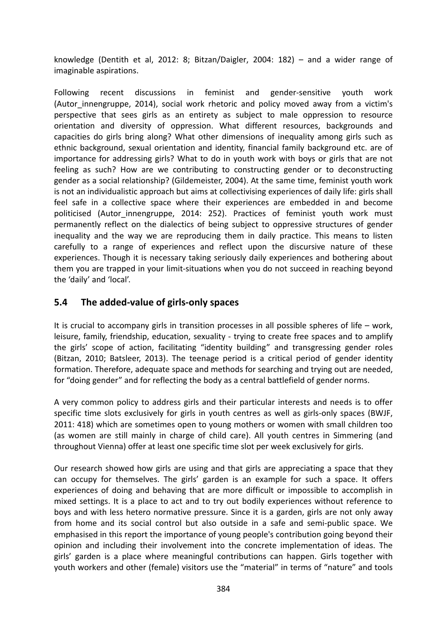knowledge (Dentith et al, 2012: 8; Bitzan/Daigler, 2004: 182) – and a wider range of imaginable aspirations.

Following recent discussions in feminist and gender‐sensitive youth work (Autor innengruppe, 2014), social work rhetoric and policy moved away from a victim's perspective that sees girls as an entirety as subject to male oppression to resource orientation and diversity of oppression. What different resources, backgrounds and capacities do girls bring along? What other dimensions of inequality among girls such as ethnic background, sexual orientation and identity, financial family background etc. are of importance for addressing girls? What to do in youth work with boys or girls that are not feeling as such? How are we contributing to constructing gender or to deconstructing gender as a social relationship? (Gildemeister, 2004). At the same time, feminist youth work is not an individualistic approach but aims at collectivising experiences of daily life: girls shall feel safe in a collective space where their experiences are embedded in and become politicised (Autor innengruppe, 2014: 252). Practices of feminist youth work must permanently reflect on the dialectics of being subject to oppressive structures of gender inequality and the way we are reproducing them in daily practice. This means to listen carefully to a range of experiences and reflect upon the discursive nature of these experiences. Though it is necessary taking seriously daily experiences and bothering about them you are trapped in your limit‐situations when you do not succeed in reaching beyond the 'daily' and 'local'.

#### **5.4 The added‐value of girls‐only spaces**

It is crucial to accompany girls in transition processes in all possible spheres of life – work, leisure, family, friendship, education, sexuality ‐ trying to create free spaces and to amplify the girls' scope of action, facilitating "identity building" and transgressing gender roles (Bitzan, 2010; Batsleer, 2013). The teenage period is a critical period of gender identity formation. Therefore, adequate space and methods for searching and trying out are needed, for "doing gender" and for reflecting the body as a central battlefield of gender norms.

A very common policy to address girls and their particular interests and needs is to offer specific time slots exclusively for girls in youth centres as well as girls-only spaces (BWJF, 2011: 418) which are sometimes open to young mothers or women with small children too (as women are still mainly in charge of child care). All youth centres in Simmering (and throughout Vienna) offer at least one specific time slot per week exclusively for girls.

Our research showed how girls are using and that girls are appreciating a space that they can occupy for themselves. The girls' garden is an example for such a space. It offers experiences of doing and behaving that are more difficult or impossible to accomplish in mixed settings. It is a place to act and to try out bodily experiences without reference to boys and with less hetero normative pressure. Since it is a garden, girls are not only away from home and its social control but also outside in a safe and semi-public space. We emphasised in this report the importance of young people's contribution going beyond their opinion and including their involvement into the concrete implementation of ideas. The girls' garden is a place where meaningful contributions can happen. Girls together with youth workers and other (female) visitors use the "material" in terms of "nature" and tools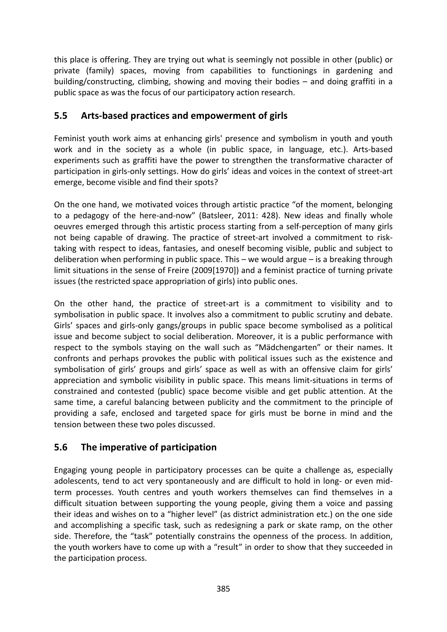this place is offering. They are trying out what is seemingly not possible in other (public) or private (family) spaces, moving from capabilities to functionings in gardening and building/constructing, climbing, showing and moving their bodies – and doing graffiti in a public space as was the focus of our participatory action research.

#### **5.5 Arts‐based practices and empowerment of girls**

Feminist youth work aims at enhancing girls' presence and symbolism in youth and youth work and in the society as a whole (in public space, in language, etc.). Arts-based experiments such as graffiti have the power to strengthen the transformative character of participation in girls-only settings. How do girls' ideas and voices in the context of street-art emerge, become visible and find their spots?

On the one hand, we motivated voices through artistic practice "of the moment, belonging to a pedagogy of the here‐and‐now" (Batsleer, 2011: 428). New ideas and finally whole oeuvres emerged through this artistic process starting from a self‐perception of many girls not being capable of drawing. The practice of street-art involved a commitment to risktaking with respect to ideas, fantasies, and oneself becoming visible, public and subject to deliberation when performing in public space. This – we would argue – is a breaking through limit situations in the sense of Freire (2009[1970]) and a feminist practice of turning private issues (the restricted space appropriation of girls) into public ones.

On the other hand, the practice of street‐art is a commitment to visibility and to symbolisation in public space. It involves also a commitment to public scrutiny and debate. Girls' spaces and girls‐only gangs/groups in public space become symbolised as a political issue and become subject to social deliberation. Moreover, it is a public performance with respect to the symbols staying on the wall such as "Mädchengarten" or their names. It confronts and perhaps provokes the public with political issues such as the existence and symbolisation of girls' groups and girls' space as well as with an offensive claim for girls' appreciation and symbolic visibility in public space. This means limit-situations in terms of constrained and contested (public) space become visible and get public attention. At the same time, a careful balancing between publicity and the commitment to the principle of providing a safe, enclosed and targeted space for girls must be borne in mind and the tension between these two poles discussed.

#### **5.6 The imperative of participation**

Engaging young people in participatory processes can be quite a challenge as, especially adolescents, tend to act very spontaneously and are difficult to hold in long- or even midterm processes. Youth centres and youth workers themselves can find themselves in a difficult situation between supporting the young people, giving them a voice and passing their ideas and wishes on to a "higher level" (as district administration etc.) on the one side and accomplishing a specific task, such as redesigning a park or skate ramp, on the other side. Therefore, the "task" potentially constrains the openness of the process. In addition, the youth workers have to come up with a "result" in order to show that they succeeded in the participation process.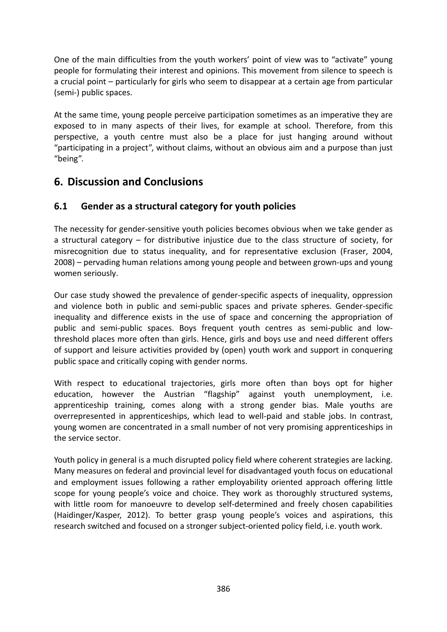One of the main difficulties from the youth workers' point of view was to "activate" young people for formulating their interest and opinions. This movement from silence to speech is a crucial point – particularly for girls who seem to disappear at a certain age from particular (semi‐) public spaces.

At the same time, young people perceive participation sometimes as an imperative they are exposed to in many aspects of their lives, for example at school. Therefore, from this perspective, a youth centre must also be a place for just hanging around without "participating in a project", without claims, without an obvious aim and a purpose than just "being".

## **6. Discussion and Conclusions**

#### **6.1 Gender as a structural category for youth policies**

The necessity for gender‐sensitive youth policies becomes obvious when we take gender as a structural category – for distributive injustice due to the class structure of society, for misrecognition due to status inequality, and for representative exclusion (Fraser, 2004, 2008) – pervading human relations among young people and between grown‐ups and young women seriously.

Our case study showed the prevalence of gender‐specific aspects of inequality, oppression and violence both in public and semi‐public spaces and private spheres. Gender‐specific inequality and difference exists in the use of space and concerning the appropriation of public and semi‐public spaces. Boys frequent youth centres as semi‐public and low‐ threshold places more often than girls. Hence, girls and boys use and need different offers of support and leisure activities provided by (open) youth work and support in conquering public space and critically coping with gender norms.

With respect to educational trajectories, girls more often than boys opt for higher education, however the Austrian "flagship" against youth unemployment, i.e. apprenticeship training, comes along with a strong gender bias. Male youths are overrepresented in apprenticeships, which lead to well‐paid and stable jobs. In contrast, young women are concentrated in a small number of not very promising apprenticeships in the service sector.

Youth policy in general is a much disrupted policy field where coherent strategies are lacking. Many measures on federal and provincial level for disadvantaged youth focus on educational and employment issues following a rather employability oriented approach offering little scope for young people's voice and choice. They work as thoroughly structured systems, with little room for manoeuvre to develop self-determined and freely chosen capabilities (Haidinger/Kasper, 2012). To better grasp young people's voices and aspirations, this research switched and focused on a stronger subject-oriented policy field, i.e. youth work.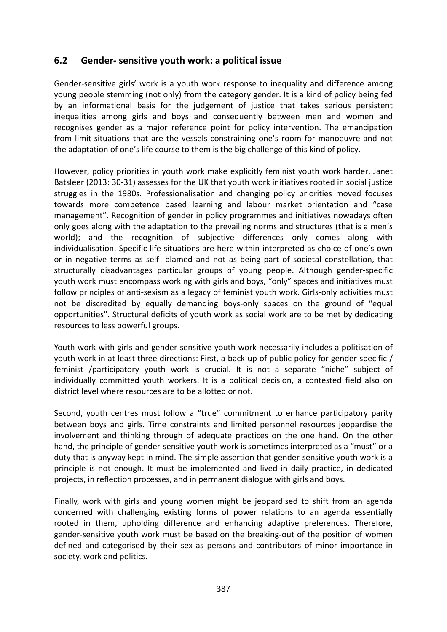#### **6.2 Gender‐ sensitive youth work: a political issue**

Gender‐sensitive girls' work is a youth work response to inequality and difference among young people stemming (not only) from the category gender. It is a kind of policy being fed by an informational basis for the judgement of justice that takes serious persistent inequalities among girls and boys and consequently between men and women and recognises gender as a major reference point for policy intervention. The emancipation from limit-situations that are the vessels constraining one's room for manoeuvre and not the adaptation of one's life course to them is the big challenge of this kind of policy.

However, policy priorities in youth work make explicitly feminist youth work harder. Janet Batsleer (2013: 30‐31) assesses for the UK that youth work initiatives rooted in social justice struggles in the 1980s. Professionalisation and changing policy priorities moved focuses towards more competence based learning and labour market orientation and "case management". Recognition of gender in policy programmes and initiatives nowadays often only goes along with the adaptation to the prevailing norms and structures (that is a men's world); and the recognition of subjective differences only comes along with individualisation. Specific life situations are here within interpreted as choice of one's own or in negative terms as self‐ blamed and not as being part of societal constellation, that structurally disadvantages particular groups of young people. Although gender‐specific youth work must encompass working with girls and boys, "only" spaces and initiatives must follow principles of anti-sexism as a legacy of feminist youth work. Girls-only activities must not be discredited by equally demanding boys‐only spaces on the ground of "equal opportunities". Structural deficits of youth work as social work are to be met by dedicating resources to less powerful groups.

Youth work with girls and gender-sensitive youth work necessarily includes a politisation of youth work in at least three directions: First, a back‐up of public policy for gender‐specific / feminist /participatory youth work is crucial. It is not a separate "niche" subject of individually committed youth workers. It is a political decision, a contested field also on district level where resources are to be allotted or not.

Second, youth centres must follow a "true" commitment to enhance participatory parity between boys and girls. Time constraints and limited personnel resources jeopardise the involvement and thinking through of adequate practices on the one hand. On the other hand, the principle of gender-sensitive youth work is sometimes interpreted as a "must" or a duty that is anyway kept in mind. The simple assertion that gender‐sensitive youth work is a principle is not enough. It must be implemented and lived in daily practice, in dedicated projects, in reflection processes, and in permanent dialogue with girls and boys.

Finally, work with girls and young women might be jeopardised to shift from an agenda concerned with challenging existing forms of power relations to an agenda essentially rooted in them, upholding difference and enhancing adaptive preferences. Therefore, gender‐sensitive youth work must be based on the breaking‐out of the position of women defined and categorised by their sex as persons and contributors of minor importance in society, work and politics.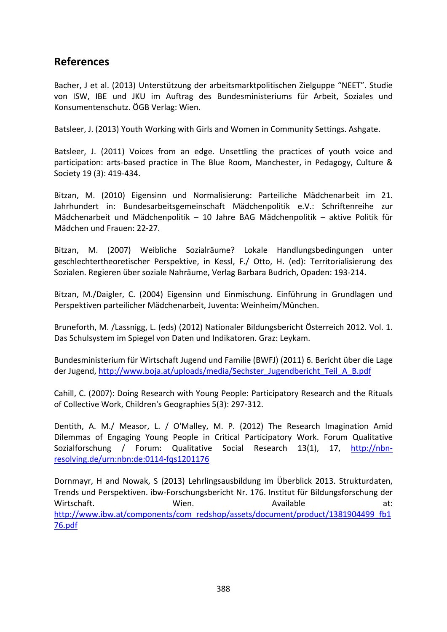### **References**

Bacher, J et al. (2013) Unterstützung der arbeitsmarktpolitischen Zielguppe "NEET". Studie von ISW, IBE und JKU im Auftrag des Bundesministeriums für Arbeit, Soziales und Konsumentenschutz. ÖGB Verlag: Wien.

Batsleer, J. (2013) Youth Working with Girls and Women in Community Settings. Ashgate.

Batsleer, J. (2011) Voices from an edge. Unsettling the practices of youth voice and participation: arts‐based practice in The Blue Room, Manchester, in Pedagogy, Culture & Society 19 (3): 419‐434.

Bitzan, M. (2010) Eigensinn und Normalisierung: Parteiliche Mädchenarbeit im 21. Jahrhundert in: Bundesarbeitsgemeinschaft Mädchenpolitik e.V.: Schriftenreihe zur Mädchenarbeit und Mädchenpolitik – 10 Jahre BAG Mädchenpolitik – aktive Politik für Mädchen und Frauen: 22‐27.

Bitzan, M. (2007) Weibliche Sozialräume? Lokale Handlungsbedingungen unter geschlechtertheoretischer Perspektive, in Kessl, F./ Otto, H. (ed): Territorialisierung des Sozialen. Regieren über soziale Nahräume, Verlag Barbara Budrich, Opaden: 193‐214.

Bitzan, M./Daigler, C. (2004) Eigensinn und Einmischung. Einführung in Grundlagen und Perspektiven parteilicher Mädchenarbeit, Juventa: Weinheim/München.

Bruneforth, M. /Lassnigg, L. (eds) (2012) Nationaler Bildungsbericht Österreich 2012. Vol. 1. Das Schulsystem im Spiegel von Daten und Indikatoren. Graz: Leykam.

Bundesministerium für Wirtschaft Jugend und Familie (BWFJ) (2011) 6. Bericht über die Lage der Jugend, http://www.boja.at/uploads/media/Sechster\_Jugendbericht\_Teil\_A\_B.pdf

Cahill, C. (2007): Doing Research with Young People: Participatory Research and the Rituals of Collective Work, Children's Geographies 5(3): 297‐312.

Dentith, A. M./ Measor, L. / O'Malley, M. P. (2012) The Research Imagination Amid Dilemmas of Engaging Young People in Critical Participatory Work. Forum Qualitative Sozialforschung / Forum: Qualitative Social Research 13(1), 17, http://nbnresolving.de/urn:nbn:de:0114‐fqs1201176

Dornmayr, H and Nowak, S (2013) Lehrlingsausbildung im Überblick 2013. Strukturdaten, Trends und Perspektiven. ibw‐Forschungsbericht Nr. 176. Institut für Bildungsforschung der Wirtschaft. Wien. Available at: http://www.ibw.at/components/com\_redshop/assets/document/product/1381904499\_fb1 76.pdf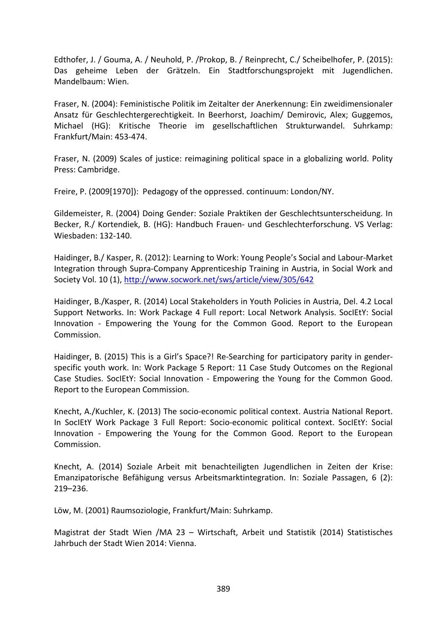Edthofer, J. / Gouma, A. / Neuhold, P. /Prokop, B. / Reinprecht, C./ Scheibelhofer, P. (2015): Das geheime Leben der Grätzeln. Ein Stadtforschungsprojekt mit Jugendlichen. Mandelbaum: Wien.

Fraser, N. (2004): Feministische Politik im Zeitalter der Anerkennung: Ein zweidimensionaler Ansatz für Geschlechtergerechtigkeit. In Beerhorst, Joachim/ Demirovic, Alex; Guggemos, Michael (HG): Kritische Theorie im gesellschaftlichen Strukturwandel. Suhrkamp: Frankfurt/Main: 453‐474.

Fraser, N. (2009) Scales of justice: reimagining political space in a globalizing world. Polity Press: Cambridge.

Freire, P. (2009[1970]): Pedagogy of the oppressed. continuum: London/NY.

Gildemeister, R. (2004) Doing Gender: Soziale Praktiken der Geschlechtsunterscheidung. In Becker, R./ Kortendiek, B. (HG): Handbuch Frauen‐ und Geschlechterforschung. VS Verlag: Wiesbaden: 132‐140.

Haidinger, B./ Kasper, R. (2012): Learning to Work: Young People's Social and Labour‐Market Integration through Supra‐Company Apprenticeship Training in Austria, in Social Work and Society Vol. 10 (1), http://www.socwork.net/sws/article/view/305/642

Haidinger, B./Kasper, R. (2014) Local Stakeholders in Youth Policies in Austria, Del. 4.2 Local Support Networks. In: Work Package 4 Full report: Local Network Analysis. SocIEtY: Social Innovation - Empowering the Young for the Common Good. Report to the European Commission.

Haidinger, B. (2015) This is a Girl's Space?! Re-Searching for participatory parity in genderspecific youth work. In: Work Package 5 Report: 11 Case Study Outcomes on the Regional Case Studies. SocIEtY: Social Innovation ‐ Empowering the Young for the Common Good. Report to the European Commission.

Knecht, A./Kuchler, K. (2013) The socio‐economic political context. Austria National Report. In SocIEtY Work Package 3 Full Report: Socio-economic political context. SocIEtY: Social Innovation ‐ Empowering the Young for the Common Good. Report to the European Commission.

Knecht, A. (2014) Soziale Arbeit mit benachteiligten Jugendlichen in Zeiten der Krise: Emanzipatorische Befähigung versus Arbeitsmarktintegration. In: Soziale Passagen, 6 (2): 219–236.

Löw, M. (2001) Raumsoziologie, Frankfurt/Main: Suhrkamp.

Magistrat der Stadt Wien /MA 23 – Wirtschaft, Arbeit und Statistik (2014) Statistisches Jahrbuch der Stadt Wien 2014: Vienna.